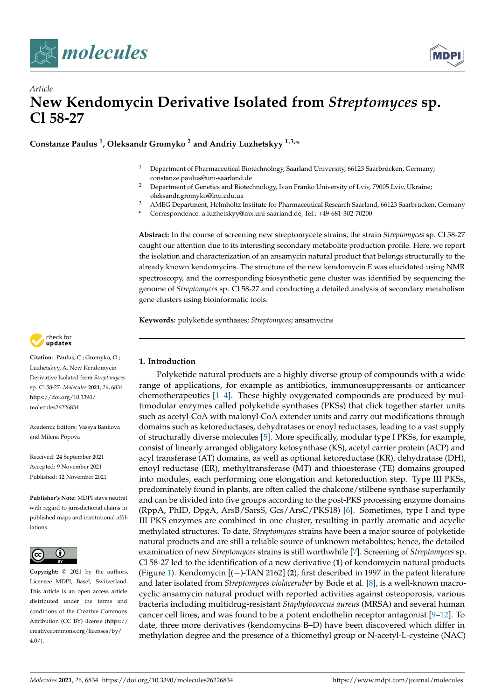



# *Article* **New Kendomycin Derivative Isolated from** *Streptomyces* **sp. Cl 58-27**

**Constanze Paulus <sup>1</sup> , Oleksandr Gromyko <sup>2</sup> and Andriy Luzhetskyy 1,3,\***

- <sup>1</sup> Department of Pharmaceutical Biotechnology, Saarland University, 66123 Saarbrücken, Germany; constanze.paulus@uni-saarland.de
- <sup>2</sup> Department of Genetics and Biotechnology, Ivan Franko University of Lviv, 79005 Lviv, Ukraine; oleksandr.gromyko@lnu.edu.ua
- <sup>3</sup> AMEG Department, Helmholtz Institute for Pharmaceutical Research Saarland, 66123 Saarbrücken, Germany
- **\*** Correspondence: a.luzhetskyy@mx.uni-saarland.de; Tel.: +49-681-302-70200

**Abstract:** In the course of screening new streptomycete strains, the strain *Streptomyces* sp. Cl 58-27 caught our attention due to its interesting secondary metabolite production profile. Here, we report the isolation and characterization of an ansamycin natural product that belongs structurally to the already known kendomycins. The structure of the new kendomycin E was elucidated using NMR spectroscopy, and the corresponding biosynthetic gene cluster was identified by sequencing the genome of *Streptomyces* sp. Cl 58-27 and conducting a detailed analysis of secondary metabolism gene clusters using bioinformatic tools.

**Keywords:** polyketide synthases; *Streptomyces*; ansamycins



**Citation:** Paulus, C.; Gromyko, O.; Luzhetskyy, A. New Kendomycin Derivative Isolated from *Streptomyces* sp. Cl 58-27. *Molecules* **2021**, *26*, 6834. [https://doi.org/10.3390/](https://doi.org/10.3390/molecules26226834) [molecules26226834](https://doi.org/10.3390/molecules26226834)

Academic Editors: Vassya Bankova and Milena Popova

Received: 24 September 2021 Accepted: 9 November 2021 Published: 12 November 2021

**Publisher's Note:** MDPI stays neutral with regard to jurisdictional claims in published maps and institutional affiliations.



**Copyright:** © 2021 by the authors. Licensee MDPI, Basel, Switzerland. This article is an open access article distributed under the terms and conditions of the Creative Commons Attribution (CC BY) license (https:/[/](https://creativecommons.org/licenses/by/4.0/) [creativecommons.org/licenses/by/](https://creativecommons.org/licenses/by/4.0/)  $4.0/$ ).

### **1. Introduction**

Polyketide natural products are a highly diverse group of compounds with a wide range of applications, for example as antibiotics, immunosuppressants or anticancer chemotherapeutics [\[1](#page-6-0)[–4\]](#page-6-1). These highly oxygenated compounds are produced by multimodular enzymes called polyketide synthases (PKSs) that click together starter units such as acetyl-CoA with malonyl-CoA extender units and carry out modifications through domains such as ketoreductases, dehydratases or enoyl reductases, leading to a vast supply of structurally diverse molecules [\[5\]](#page-6-2). More specifically, modular type I PKSs, for example, consist of linearly arranged obligatory ketosynthase (KS), acetyl carrier protein (ACP) and acyl transferase (AT) domains, as well as optional ketoreductase (KR), dehydratase (DH), enoyl reductase (ER), methyltransferase (MT) and thioesterase (TE) domains grouped into modules, each performing one elongation and ketoreduction step. Type III PKSs, predominately found in plants, are often called the chalcone/stilbene synthase superfamily and can be divided into five groups according to the post-PKS processing enzyme domains (RppA, PhID, DpgA, ArsB/SarsS, Gcs/ArsC/PKS18) [\[6\]](#page-6-3). Sometimes, type I and type III PKS enzymes are combined in one cluster, resulting in partly aromatic and acyclic methylated structures. To date, *Streptomyces* strains have been a major source of polyketide natural products and are still a reliable source of unknown metabolites; hence, the detailed examination of new *Streptomyces* strains is still worthwhile [\[7\]](#page-6-4). Screening of *Streptomyces* sp. Cl 58-27 led to the identification of a new derivative (**1**) of kendomycin natural products (Figure [1\)](#page-1-0). Kendomycin [(−)-TAN 2162] (**2**), first described in 1997 in the patent literature and later isolated from *Streptomyces violaceruber* by Bode et al. [\[8\]](#page-6-5), is a well-known macrocyclic ansamycin natural product with reported activities against osteoporosis, various bacteria including multidrug-resistant *Staphylococcus aureus* (MRSA) and several human cancer cell lines, and was found to be a potent endothelin receptor antagonist [\[9](#page-6-6)[–12\]](#page-6-7). To date, three more derivatives (kendomycins B–D) have been discovered which differ in methylation degree and the presence of a thiomethyl group or N-acetyl-L-cysteine (NAC)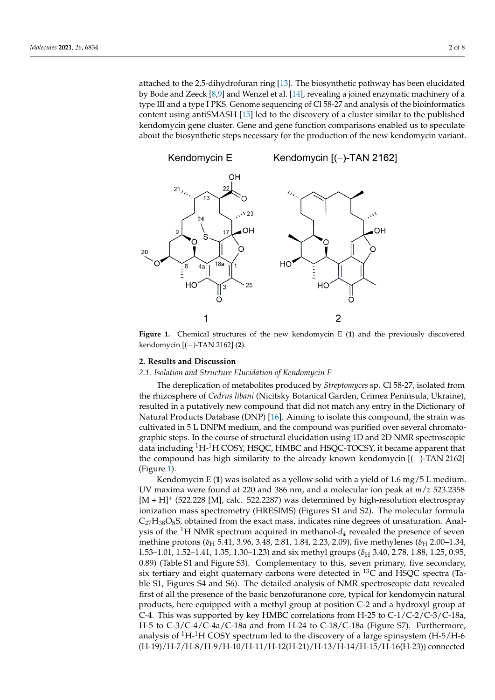attached to the 2,5-dihydrofuran ring [\[13\]](#page-7-0). The biosynthetic pathway has been elucidated by Bode and Zeeck [8,9] and Wenzel et al. [14], revealing a joined enzymatic machinery of a type III and a type I PKS. Genome sequencing of Cl 58-27 and analysis of the bioinformatics content using antiSMASH [\[15\]](#page-7-2) led to the discovery of a cluster similar to the published<br>her denomines needs the biosynthetic steps necessary for the production of the production of the production of kendomycin gene cluster. Gene and gene function comparisons enabled us to speculate about the biosynthetic steps necessary for the production of the new kendomycin variant. new kendomycin variant.

<span id="page-1-0"></span>

**Figure 1.** Chemical structures of the new kendomycin E (1) and the previously discovered kendomycin I( )  $TAM21(2)$ mycin [(−)-TAN 2162] (**2**). kendomycin [(−)-TAN 2162] (**2**).

#### **2. Results and Discussion**

## **2. Results and Discussion**  *2.1. Isolation and Structure Elucidation of Kendomycin E*

*2.1. Isolation and Structure Elucidation of Kendomycin E*  the rhizosphere of *Cedrus libani* (Nicitsky Botanical Garden, Crimea Peninsula, Ukraine), resulted in a putatively new compound that did not match any entry in the Dictionary of Natural Products Database (DNP) [\[16\]](#page-7-3). Aiming to isolate this compound, the strain was<br>
Natural Products Database (DNP) [16]. Aiming to isolate this compound, the strain was cultivated in 5 L DNPM medium, and the compound was purified over several chromato-<br>craphic stops. In the course of structural elucidation using 1D and 2D NMP spectroscopic data including <sup>1</sup>H-<sup>1</sup>H COSY, HSQC, HMBC and HSQC-TOCSY, it became apparent that the compound has high similarity to the already known kendomycin [(−)-TAN 2162]  $t$  steps. In the course of steps. In the course of structural elucidation using 1D and 2D  $N$  and 2D  $N$  spectro- $t$ The dereplication of metabolites produced by *Streptomyces* sp. Cl 58-27, isolated from graphic steps. In the course of structural elucidation using 1D and 2D NMR spectroscopic (Figure 1).

Kendomycin E (1) was isolated as a yellow solid with a yield of 1.6 mg/5 L medium.<br>Kendomycin E (1) was isolated as a yellow solid with a yield of 1.6 mg/5 L medium.  $(t + H)^+$  (522.228 [M], calc. 522.2287) was determined by high-resolution electrospray ionization mass spectrometry (HRESIMS) (Figures S1 and S2). The molecular formula  $C_{27}H_{38}O_8$ S, obtained from the exact mass, indicates nine degrees of unsaturation. Analysis of the <sup>1</sup>H NMR spectrum acquired in methanol- $d_4$  revealed the presence of seven  $1.53-1.01$ , 1.52–1.41, 1.35, 1.30–1.23) and six methyl groups ( $\delta$ <sub>H</sub> 3.40, 2.78, 1.88, 1.25, 0.95, 0.89) (Table S1 and Figure S3). Complementary to this, seven primary, five secondary, six tertiary and eight quaternary carbons were detected in  $^{13}C$  and HSQC spectra (Table S1, Figures S4 and S6). The detailed analysis of NMR spectroscopic data revealed first of all the presence of the basic benzofuranone core, typical for kendomycin natural<br>reactively have a vision of with a mathed argum at position  $C$  2 and a hydrographenous at  $1.35$  C-4. This was supported by key HMBC correlations from H-25 to C-1/C-2/C-3/C-18a, H-5 to C-3/C-4/C-4a/C-18a and from H-24 to C-18/C-18a (Figure S7). Furthermore, analysis of <sup>1</sup>H-<sup>1</sup>H COSY spectrum led to the discovery of a large spinsystem (H-5/H-6 (H-19)/H-7/H-8/H-9/H-10/H-11/H-12(H-21)/H-13/H-14/H-15/H-16(H-23)) connected UV maxima were found at 220 and 386 nm, and a molecular ion peak at *m*/*z* 523.2358 methine protons ( $\delta$ <sub>H</sub> 5.41, 3.96, 3.48, 2.81, 1.84, 2.23, 2.09), five methylenes ( $\delta$ <sub>H</sub> 2.00–1.34, products, here equipped with a methyl group at position C-2 and a hydroxyl group at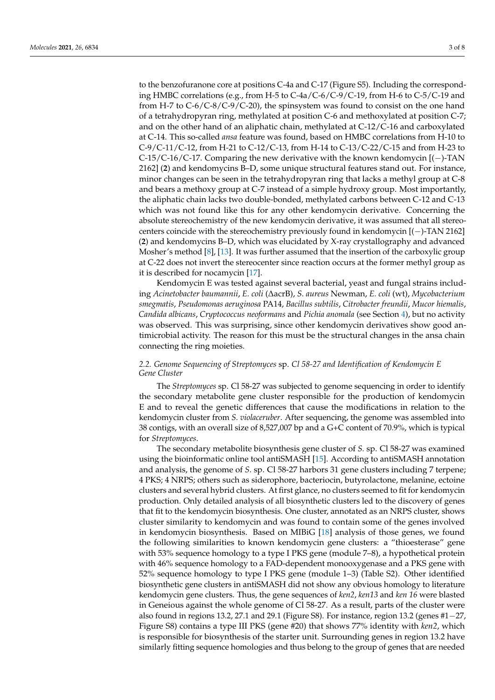to the benzofuranone core at positions C-4a and C-17 (Figure S5). Including the corresponding HMBC correlations (e.g., from H-5 to C-4a/C-6/C-9/C-19, from H-6 to C-5/C-19 and from H-7 to C-6/C-8/C-9/C-20), the spinsystem was found to consist on the one hand of a tetrahydropyran ring, methylated at position C-6 and methoxylated at position C-7; and on the other hand of an aliphatic chain, methylated at C-12/C-16 and carboxylated at C-14. This so-called *ansa* feature was found, based on HMBC correlations from H-10 to C-9/C-11/C-12, from H-21 to C-12/C-13, from H-14 to C-13/C-22/C-15 and from H-23 to C-15/C-16/C-17. Comparing the new derivative with the known kendomycin [(−)-TAN 2162] (**2**) and kendomycins B–D, some unique structural features stand out. For instance, minor changes can be seen in the tetrahydropyran ring that lacks a methyl group at C-8 and bears a methoxy group at C-7 instead of a simple hydroxy group. Most importantly, the aliphatic chain lacks two double-bonded, methylated carbons between C-12 and C-13 which was not found like this for any other kendomycin derivative. Concerning the absolute stereochemistry of the new kendomycin derivative, it was assumed that all stereocenters coincide with the stereochemistry previously found in kendomycin [(−)-TAN 2162] (**2**) and kendomycins B–D, which was elucidated by X-ray crystallography and advanced Mosher's method [\[8\]](#page-6-5), [\[13\]](#page-7-0). It was further assumed that the insertion of the carboxylic group at C-22 does not invert the stereocenter since reaction occurs at the former methyl group as it is described for nocamycin [\[17\]](#page-7-4).

Kendomycin E was tested against several bacterial, yeast and fungal strains including *Acinetobacter baumannii*, *E. coli* (∆acrB), *S. aureus* Newman, *E. coli* (wt), *Mycobacterium smegmatis*, *Pseudomonas aeruginosa* PA14, *Bacillus subtilis*, *Citrobacter freundii*, *Mucor hiemalis*, *Candida albicans*, *Cryptococcus neoformans* and *Pichia anomala* (see Section [4\)](#page-5-0), but no activity was observed. This was surprising, since other kendomycin derivatives show good antimicrobial activity. The reason for this must be the structural changes in the ansa chain connecting the ring moieties.

#### *2.2. Genome Sequencing of Streptomyces* sp. *Cl 58-27 and Identification of Kendomycin E Gene Cluster*

The *Streptomyces* sp. Cl 58-27 was subjected to genome sequencing in order to identify the secondary metabolite gene cluster responsible for the production of kendomycin E and to reveal the genetic differences that cause the modifications in relation to the kendomycin cluster from *S. violaceruber*. After sequencing, the genome was assembled into 38 contigs, with an overall size of 8,527,007 bp and a G+C content of 70.9%, which is typical for *Streptomyces*.

The secondary metabolite biosynthesis gene cluster of *S.* sp. Cl 58-27 was examined using the bioinformatic online tool antiSMASH [\[15\]](#page-7-2). According to antiSMASH annotation and analysis, the genome of *S.* sp. Cl 58-27 harbors 31 gene clusters including 7 terpene; 4 PKS; 4 NRPS; others such as siderophore, bacteriocin, butyrolactone, melanine, ectoine clusters and several hybrid clusters. At first glance, no clusters seemed to fit for kendomycin production. Only detailed analysis of all biosynthetic clusters led to the discovery of genes that fit to the kendomycin biosynthesis. One cluster, annotated as an NRPS cluster, shows cluster similarity to kendomycin and was found to contain some of the genes involved in kendomycin biosynthesis. Based on MIBiG [\[18\]](#page-7-5) analysis of those genes, we found the following similarities to known kendomycin gene clusters: a "thioesterase" gene with 53% sequence homology to a type I PKS gene (module 7–8), a hypothetical protein with 46% sequence homology to a FAD-dependent monooxygenase and a PKS gene with 52% sequence homology to type I PKS gene (module 1–3) (Table S2). Other identified biosynthetic gene clusters in antiSMASH did not show any obvious homology to literature kendomycin gene clusters. Thus, the gene sequences of *ken2*, *ken13* and *ken 16* were blasted in Geneious against the whole genome of Cl 58-27. As a result, parts of the cluster were also found in regions 13.2, 27.1 and 29.1 (Figure S8). For instance, region 13.2 (genes #1−27, Figure S8) contains a type III PKS (gene #20) that shows 77% identity with *ken2*, which is responsible for biosynthesis of the starter unit. Surrounding genes in region 13.2 have similarly fitting sequence homologies and thus belong to the group of genes that are needed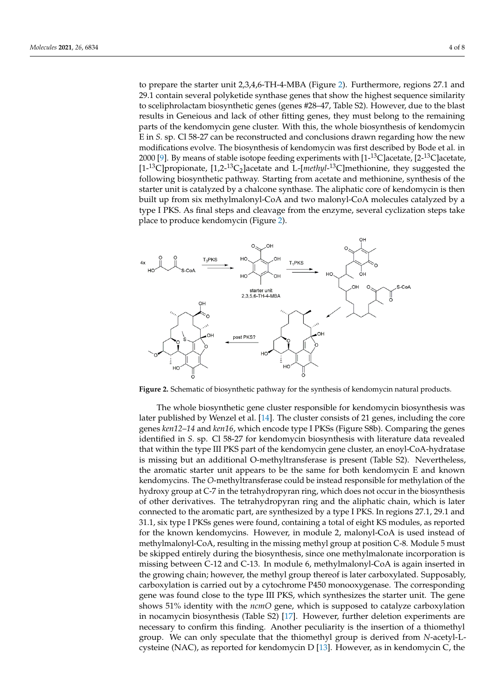to prepare the starter unit 2,3,4,6-TH-4-MBA ([Fig](#page-3-0)ure 2). Furthermore, regions 27.1 and 29.1 contain several polyketide synthase genes that show the highest sequence similarity to sceliphrolactam biosynthetic genes (genes #28–47, Table S2). However, due to the blast results in Geneious and lack of other fitting genes, they must belong to the remaining parts of the kendomycin gene cluster. With this, the whole biosynthesis of kendomycin E in *S*. sp. Cl 58-27 can be reconstructed and conclusions drawn regarding how the new modifications evolve. The biosynthesis of kendomycin was first described by Bode et al. in modifications evolve. The biosynthesis of kendomycin was first described by Bode et al. 2[00](#page-6-6)0 [9]. By means of stable isotope feeding experiments with [1- $^{13}$ C]acetate, [2- $^{13}$ C]acetate, [1-<sup>13</sup>C]propionate, [1,2-<sup>13</sup>C<sub>2</sub>]acetate and L-[*methyl*-<sup>13</sup>C]methionine, they suggested the following biosynthetic pathway. Starting from acetate and methionine, synthesis of the following biosynthetic pathway. Starting from acetate and methionine, synthesis of the starter unit is catalyzed by a chalcone synthase. The aliphatic core of kendomycin is then starter unit is catalyzed by a chalcone synthase. The aliphatic core of kendomycin is then built up from six methylmalonyl-CoA and two malonyl-CoA molecules catalyzed by a built up from six methylmalonyl-CoA and two malonyl-CoA molecules catalyzed by a type I PKS. As final steps and cleavage from the enzyme, several cyclization steps take type I PKS. As final steps and cleavage from the enzyme, several cyclization steps take place to produce kendomycin (Figure 2). place to produce kendomycin (Figure [2](#page-3-0)).

<span id="page-3-0"></span>

**Figure 2.** Schematic of biosynthetic pathway for the synthesis of kendomycin natural products. **Figure 2.** Schematic of biosynthetic pathway for the synthesis of kendomycin natural products.

The whole biosynthetic gene cluster responsible for kendomycin biosynthesis was The whole biosynthetic gene cluster responsible for kendomycin biosynthesis was later published by Wenzel et al. [14]. The cluster consists of 21 genes, including the core later published by Wenzel et al. [\[14\]](#page-7-1). The cluster consists of 21 genes, including the core genes *ken12*−*14* and *ken16*, which encode type I PKSs (Figure S8b). Comparing the genes genes *ken12*–*14* and *ken16*, which encode type I PKSs (Figure S8b). Comparing the genes identified in *S.* sp. Cl 58-27 for kendomycin biosynthesis with literature data revealed that within the type III PKS part of the kendomycin gene cluster, an enoyl-CoA-hydratase is it is seen to the kendomycin gene cluster, an enoyl-CoA-hydratase is missing but an additional O-methyltransferase is present (Table S2). Nevertheless, the aromatic starter unit appears to be the same for both kendomycin E and known kendomycins. The *O*-methyltransferase could be instead responsible for methylation of the hydroxy group at C-7 in the tetrahydropyran ring, which does not occur in the biosynthesis of other tetrahydropyran ring, which does not occur in the biosynthesis of other derivatives. The tetrahydropyran ring and the aliphatic chain, which is later of other derivatives. connected to the aromatic part, are synthesized by a type I PKS. In regions 27.1, 29.1 and  $31.1$ , six type I PKS, are synthesized by a type I PKS. In regions 27.1, 29.1 and First, six type if it not genes were found, containing a total of eight its modules, as reported for the known kendomycins. However, in module 2, malonyl-CoA is used instead of for the known kendomychis. However, in module 2, malonyl-CoA is used instead of methylmalonyl-CoA, resulting in the missing methyl group at position C-8. Module 5 must methylmalony CoA, resulting in the missing methyl group at position C-8. Module 5 mast<br>be skipped entirely during the biosynthesis, since one methylmalonate incorporation is be shipped entirely during the biosynthesis, since one methy indicated incorporation is<br>missing between C-12 and C-13. In module 6, methylmalonyl-CoA is again inserted in the growing between C-12 and C-13. In module 6, methyl mallonyl-CoA is again inserted in the growing chain; however, the methyl group thereof is later carboxylated. Supposably, carboxylation is carried out by a cytochrome P450 monooxygenase. The corresponding gene was found close to the type III PKS, which synthesizes the starter unit. The gene shows 51% identity with the *ncmO* gene, which is supposed to catalyze carboxylation in nocamycin biosynthesis (Table S2) [\[17\]](#page-7-4). However, further deletion experiments are 31.1, six type I PKSs genes were found, containing a total of eight KS modules, as reported necessary to confirm this finding. Another peculiarity is the insertion of a thiomethyl group. We can only speculate that the thiomethyl group is derived from *N*-acetyl-Lcysteine (NAC), as reported for kendomycin D [\[13\]](#page-7-0). However, as in kendomycin C, the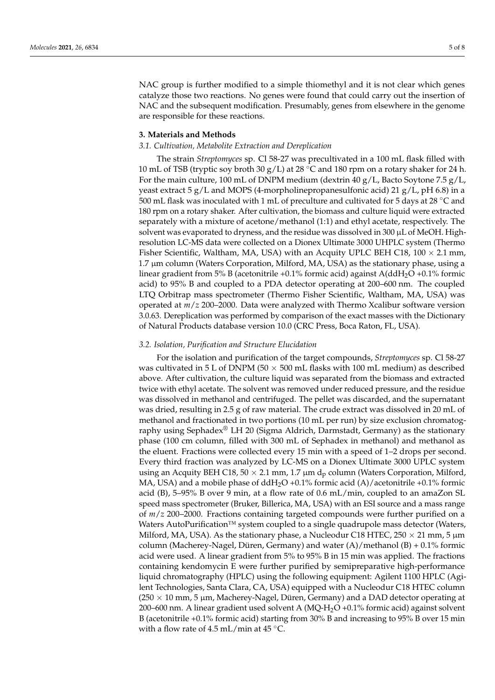NAC group is further modified to a simple thiomethyl and it is not clear which genes catalyze those two reactions. No genes were found that could carry out the insertion of NAC and the subsequent modification. Presumably, genes from elsewhere in the genome are responsible for these reactions.

#### **3. Materials and Methods**

#### *3.1. Cultivation, Metabolite Extraction and Dereplication*

The strain *Streptomyces* sp. Cl 58-27 was precultivated in a 100 mL flask filled with 10 mL of TSB (tryptic soy broth 30 g/L) at 28 °C and 180 rpm on a rotary shaker for 24 h. For the main culture, 100 mL of DNPM medium (dextrin  $40 g/L$ , Bacto Soytone 7.5  $g/L$ , yeast extract 5 g/L and MOPS (4-morpholinepropanesulfonic acid) 21 g/L, pH 6.8) in a 500 mL flask was inoculated with 1 mL of preculture and cultivated for 5 days at 28 ◦C and 180 rpm on a rotary shaker. After cultivation, the biomass and culture liquid were extracted separately with a mixture of acetone/methanol (1:1) and ethyl acetate, respectively. The solvent was evaporated to dryness, and the residue was dissolved in 300 µL of MeOH. Highresolution LC-MS data were collected on a Dionex Ultimate 3000 UHPLC system (Thermo Fisher Scientific, Waltham, MA, USA) with an Acquity UPLC BEH C18,  $100 \times 2.1$  mm, 1.7 µm column (Waters Corporation, Milford, MA, USA) as the stationary phase, using a linear gradient from 5% B (acetonitrile +0.1% formic acid) against  $A(ddH_2O +0.1\%$  formic acid) to 95% B and coupled to a PDA detector operating at 200–600 nm. The coupled LTQ Orbitrap mass spectrometer (Thermo Fisher Scientific, Waltham, MA, USA) was operated at *m*/*z* 200–2000. Data were analyzed with Thermo Xcalibur software version 3.0.63. Dereplication was performed by comparison of the exact masses with the Dictionary of Natural Products database version 10.0 (CRC Press, Boca Raton, FL, USA).

#### *3.2. Isolation, Purification and Structure Elucidation*

For the isolation and purification of the target compounds, *Streptomyces* sp. Cl 58-27 was cultivated in 5 L of DNPM (50  $\times$  500 mL flasks with 100 mL medium) as described above. After cultivation, the culture liquid was separated from the biomass and extracted twice with ethyl acetate. The solvent was removed under reduced pressure, and the residue was dissolved in methanol and centrifuged. The pellet was discarded, and the supernatant was dried, resulting in 2.5 g of raw material. The crude extract was dissolved in 20 mL of methanol and fractionated in two portions (10 mL per run) by size exclusion chromatography using Sephadex<sup>®</sup> LH 20 (Sigma Aldrich, Darmstadt, Germany) as the stationary phase (100 cm column, filled with 300 mL of Sephadex in methanol) and methanol as the eluent. Fractions were collected every 15 min with a speed of 1–2 drops per second. Every third fraction was analyzed by LC-MS on a Dionex Ultimate 3000 UPLC system using an Acquity BEH C18, 50  $\times$  2.1 mm, 1.7 µm d<sub>p</sub> column (Waters Corporation, Milford, MA, USA) and a mobile phase of ddH<sub>2</sub>O +0.1% formic acid (A)/acetonitrile +0.1% formic acid (B), 5–95% B over 9 min, at a flow rate of 0.6 mL/min, coupled to an amaZon SL speed mass spectrometer (Bruker, Billerica, MA, USA) with an ESI source and a mass range of *m*/*z* 200–2000. Fractions containing targeted compounds were further purified on a Waters AutoPurification™ system coupled to a single quadrupole mass detector (Waters, Milford, MA, USA). As the stationary phase, a Nucleodur C18 HTEC, 250  $\times$  21 mm, 5 µm column (Macherey-Nagel, Düren, Germany) and water  $(A)/$ methanol  $(B) + 0.1\%$  formic acid were used. A linear gradient from 5% to 95% B in 15 min was applied. The fractions containing kendomycin E were further purified by semipreparative high-performance liquid chromatography (HPLC) using the following equipment: Agilent 1100 HPLC (Agilent Technologies, Santa Clara, CA, USA) equipped with a Nucleodur C18 HTEC column  $(250 \times 10 \text{ mm}, 5 \text{ \mu m}$ , Macherey-Nagel, Düren, Germany) and a DAD detector operating at 200–600 nm. A linear gradient used solvent A  $(MQ-H<sub>2</sub>O +0.1%$  formic acid) against solvent B (acetonitrile +0.1% formic acid) starting from 30% B and increasing to 95% B over 15 min with a flow rate of 4.5 mL/min at 45  $^{\circ}$ C.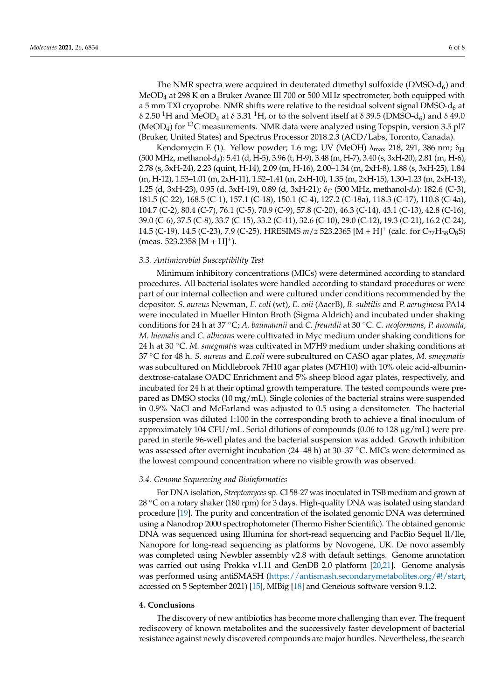The NMR spectra were acquired in deuterated dimethyl sulfoxide (DMSO- $d_6$ ) and MeOD<sup>4</sup> at 298 K on a Bruker Avance III 700 or 500 MHz spectrometer, both equipped with a 5 mm TXI cryoprobe. NMR shifts were relative to the residual solvent signal DMSO- $d_6$  at δ 2.50<sup>-1</sup>H and MeOD<sub>4</sub> at δ 3.31<sup>-1</sup>H, or to the solvent itself at δ 39.5 (DMSO-d<sub>6</sub>) and δ 49.0 (MeOD<sub>4</sub>) for <sup>13</sup>C measurements. NMR data were analyzed using Topspin, version 3.5 pl7 (Bruker, United States) and Spectrus Processor 2018.2.3 (ACD/Labs, Toronto, Canada).

Kendomycin E (1). Yellow powder; 1.6 mg; UV (MeOH) λ<sub>max</sub> 218, 291, 386 nm; δ<sub>H</sub> (500 MHz, methanol-*d4*): 5.41 (d, H-5), 3.96 (t, H-9), 3.48 (m, H-7), 3.40 (s, 3xH-20), 2.81 (m, H-6), 2.78 (s, 3xH-24), 2.23 (quint, H-14), 2.09 (m, H-16), 2.00–1.34 (m, 2xH-8), 1.88 (s, 3xH-25), 1.84 (m, H-12), 1.53–1.01 (m, 2xH-11), 1.52–1.41 (m, 2xH-10), 1.35 (m, 2xH-15), 1.30–1.23 (m, 2xH-13), 1.25 (d, 3xH-23), 0.95 (d, 3xH-19), 0.89 (d, 3xH-21); δ<sub>C</sub> (500 MHz, methanol- $d_4$ ): 182.6 (C-3), 181.5 (C-22), 168.5 (C-1), 157.1 (C-18), 150.1 (C-4), 127.2 (C-18a), 118.3 (C-17), 110.8 (C-4a), 104.7 (C-2), 80.4 (C-7), 76.1 (C-5), 70.9 (C-9), 57.8 (C-20), 46.3 (C-14), 43.1 (C-13), 42.8 (C-16), 39.0 (C-6), 37.5 (C-8), 33.7 (C-15), 33.2 (C-11), 32.6 (C-10), 29.0 (C-12), 19.3 (C-21), 16.2 (C-24), 14.5 (C-19), 14.5 (C-23), 7.9 (C-25). HRESIMS  $m/z$  523.2365 [M + H]<sup>+</sup> (calc. for C<sub>27</sub>H<sub>38</sub>O<sub>8</sub>S)  $(meas. 523.2358 [M + H]<sup>+</sup>).$ 

#### *3.3. Antimicrobial Susceptibility Test*

Minimum inhibitory concentrations (MICs) were determined according to standard procedures. All bacterial isolates were handled according to standard procedures or were part of our internal collection and were cultured under conditions recommended by the depositor. *S. aureus* Newman, *E. coli* (wt), *E. coli* (∆acrB), *B. subtilis* and *P. aeruginosa* PA14 were inoculated in Mueller Hinton Broth (Sigma Aldrich) and incubated under shaking conditions for 24 h at 37 ◦C; *A. baumannii* and *C. freundii* at 30 ◦C. *C. neoformans*, *P. anomala*, *M. hiemalis* and *C. albicans* were cultivated in Myc medium under shaking conditions for 24 h at 30 ◦C. *M. smegmatis* was cultivated in M7H9 medium under shaking conditions at 37 ◦C for 48 h. *S. aureus* and *E.coli* were subcultured on CASO agar plates, *M. smegmatis* was subcultured on Middlebrook 7H10 agar plates (M7H10) with 10% oleic acid-albumindextrose-catalase OADC Enrichment and 5% sheep blood agar plates, respectively, and incubated for 24 h at their optimal growth temperature. The tested compounds were prepared as DMSO stocks (10 mg/mL). Single colonies of the bacterial strains were suspended in 0.9% NaCl and McFarland was adjusted to 0.5 using a densitometer. The bacterial suspension was diluted 1:100 in the corresponding broth to achieve a final inoculum of approximately 104 CFU/mL. Serial dilutions of compounds (0.06 to 128  $\mu$ g/mL) were prepared in sterile 96-well plates and the bacterial suspension was added. Growth inhibition was assessed after overnight incubation (24–48 h) at 30–37 ◦C. MICs were determined as the lowest compound concentration where no visible growth was observed.

#### *3.4. Genome Sequencing and Bioinformatics*

For DNA isolation, *Streptomyces* sp. Cl 58-27 was inoculated in TSB medium and grown at 28  $\degree$ C on a rotary shaker (180 rpm) for 3 days. High-quality DNA was isolated using standard procedure [\[19\]](#page-7-6). The purity and concentration of the isolated genomic DNA was determined using a Nanodrop 2000 spectrophotometer (Thermo Fisher Scientific). The obtained genomic DNA was sequenced using Illumina for short-read sequencing and PacBio Sequel Il/Ile, Nanopore for long-read sequencing as platforms by Novogene, UK. De novo assembly was completed using Newbler assembly v2.8 with default settings. Genome annotation was carried out using Prokka v1.11 and GenDB 2.0 platform [\[20,](#page-7-7)[21\]](#page-7-8). Genome analysis was performed using antiSMASH [\(https://antismash.secondarymetabolites.org/#!/start,](https://antismash.secondarymetabolites.org/#!/start) accessed on 5 September 2021) [\[15\]](#page-7-2), MIBig [\[18\]](#page-7-5) and Geneious software version 9.1.2.

#### <span id="page-5-0"></span>**4. Conclusions**

The discovery of new antibiotics has become more challenging than ever. The frequent rediscovery of known metabolites and the successively faster development of bacterial resistance against newly discovered compounds are major hurdles. Nevertheless, the search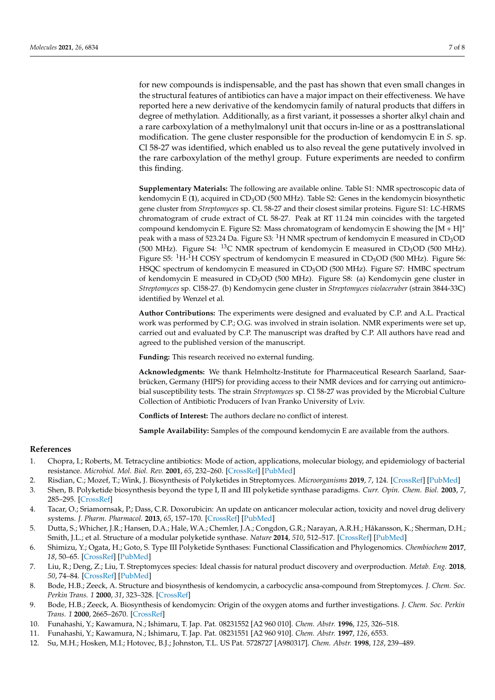for new compounds is indispensable, and the past has shown that even small changes in the structural features of antibiotics can have a major impact on their effectiveness. We have reported here a new derivative of the kendomycin family of natural products that differs in degree of methylation. Additionally, as a first variant, it possesses a shorter alkyl chain and a rare carboxylation of a methylmalonyl unit that occurs in-line or as a posttranslational modification. The gene cluster responsible for the production of kendomycin E in *S.* sp. Cl 58-27 was identified, which enabled us to also reveal the gene putatively involved in the rare carboxylation of the methyl group. Future experiments are needed to confirm this finding.

**Supplementary Materials:** The following are available online. Table S1: NMR spectroscopic data of kendomycin E (**1**), acquired in CD3OD (500 MHz). Table S2: Genes in the kendomycin biosynthetic gene cluster from *Streptomyces* sp. CL 58-27 and their closest similar proteins. Figure S1: LC-HRMS chromatogram of crude extract of CL 58-27. Peak at RT 11.24 min coincides with the targeted compound kendomycin E. Figure S2: Mass chromatogram of kendomycin E showing the  $[M + H]$ <sup>+</sup> peak with a mass of 523.24 Da. Figure S3:  ${}^{1}$ H NMR spectrum of kendomycin E measured in CD<sub>3</sub>OD (500 MHz). Figure S4:  $^{13}$ C NMR spectrum of kendomycin E measured in CD<sub>3</sub>OD (500 MHz). Figure S5:  ${}^{1}$ H-<sup>1</sup>H COSY spectrum of kendomycin E measured in CD<sub>3</sub>OD (500 MHz). Figure S6: HSQC spectrum of kendomycin E measured in CD3OD (500 MHz). Figure S7: HMBC spectrum of kendomycin E measured in CD3OD (500 MHz). Figure S8: (a) Kendomycin gene cluster in *Streptomyces* sp. Cl58-27. (b) Kendomycin gene cluster in *Streptomyces violaceruber* (strain 3844-33C) identified by Wenzel et al.

**Author Contributions:** The experiments were designed and evaluated by C.P. and A.L. Practical work was performed by C.P.; O.G. was involved in strain isolation. NMR experiments were set up, carried out and evaluated by C.P. The manuscript was drafted by C.P. All authors have read and agreed to the published version of the manuscript.

**Funding:** This research received no external funding.

**Acknowledgments:** We thank Helmholtz-Institute for Pharmaceutical Research Saarland, Saarbrücken, Germany (HIPS) for providing access to their NMR devices and for carrying out antimicrobial susceptibility tests. The strain *Streptomyces* sp. Cl 58-27 was provided by the Microbial Culture Collection of Antibiotic Producers of Ivan Franko University of Lviv.

**Conflicts of Interest:** The authors declare no conflict of interest.

**Sample Availability:** Samples of the compound kendomycin E are available from the authors.

#### **References**

- <span id="page-6-0"></span>1. Chopra, I.; Roberts, M. Tetracycline antibiotics: Mode of action, applications, molecular biology, and epidemiology of bacterial resistance. *Microbiol. Mol. Biol. Rev.* **2001**, *65*, 232–260. [\[CrossRef\]](http://doi.org/10.1128/MMBR.65.2.232-260.2001) [\[PubMed\]](http://www.ncbi.nlm.nih.gov/pubmed/11381101)
- 2. Risdian, C.; Mozef, T.; Wink, J. Biosynthesis of Polyketides in Streptomyces. *Microorganisms* **2019**, *7*, 124. [\[CrossRef\]](http://doi.org/10.3390/microorganisms7050124) [\[PubMed\]](http://www.ncbi.nlm.nih.gov/pubmed/31064143)
- 3. Shen, B. Polyketide biosynthesis beyond the type I, II and III polyketide synthase paradigms. *Curr. Opin. Chem. Biol.* **2003**, *7*, 285–295. [\[CrossRef\]](http://doi.org/10.1016/S1367-5931(03)00020-6)
- <span id="page-6-1"></span>4. Tacar, O.; Sriamornsak, P.; Dass, C.R. Doxorubicin: An update on anticancer molecular action, toxicity and novel drug delivery systems. *J. Pharm. Pharmacol.* **2013**, *65*, 157–170. [\[CrossRef\]](http://doi.org/10.1111/j.2042-7158.2012.01567.x) [\[PubMed\]](http://www.ncbi.nlm.nih.gov/pubmed/23278683)
- <span id="page-6-2"></span>5. Dutta, S.; Whicher, J.R.; Hansen, D.A.; Hale, W.A.; Chemler, J.A.; Congdon, G.R.; Narayan, A.R.H.; Håkansson, K.; Sherman, D.H.; Smith, J.L.; et al. Structure of a modular polyketide synthase. *Nature* **2014**, *510*, 512–517. [\[CrossRef\]](http://doi.org/10.1038/nature13423) [\[PubMed\]](http://www.ncbi.nlm.nih.gov/pubmed/24965652)
- <span id="page-6-3"></span>6. Shimizu, Y.; Ogata, H.; Goto, S. Type III Polyketide Synthases: Functional Classification and Phylogenomics. *Chembiochem* **2017**, *18*, 50–65. [\[CrossRef\]](http://doi.org/10.1002/cbic.201600522) [\[PubMed\]](http://www.ncbi.nlm.nih.gov/pubmed/27862822)
- <span id="page-6-4"></span>7. Liu, R.; Deng, Z.; Liu, T. Streptomyces species: Ideal chassis for natural product discovery and overproduction. *Metab. Eng.* **2018**, *50*, 74–84. [\[CrossRef\]](http://doi.org/10.1016/j.ymben.2018.05.015) [\[PubMed\]](http://www.ncbi.nlm.nih.gov/pubmed/29852270)
- <span id="page-6-5"></span>8. Bode, H.B.; Zeeck, A. Structure and biosynthesis of kendomycin, a carbocyclic ansa-compound from Streptomyces. *J. Chem. Soc. Perkin Trans. 1* **2000**, *31*, 323–328. [\[CrossRef\]](http://doi.org/10.1039/a908387a)
- <span id="page-6-6"></span>9. Bode, H.B.; Zeeck, A. Biosynthesis of kendomycin: Origin of the oxygen atoms and further investigations. *J. Chem. Soc. Perkin Trans. 1* **2000**, 2665–2670. [\[CrossRef\]](http://doi.org/10.1039/b003362f)
- 10. Funahashi, Y.; Kawamura, N.; Ishimaru, T. Jap. Pat. 08231552 [A2 960 010]. *Chem. Abstr.* **1996**, *125*, 326–518.
- 11. Funahashi, Y.; Kawamura, N.; Ishimaru, T. Jap. Pat. 08231551 [A2 960 910]. *Chem. Abstr.* **1997**, *126*, 6553.
- <span id="page-6-7"></span>12. Su, M.H.; Hosken, M.I.; Hotovec, B.J.; Johnston, T.L. US Pat. 5728727 [A980317]. *Chem. Abstr.* **1998**, *128*, 239–489.